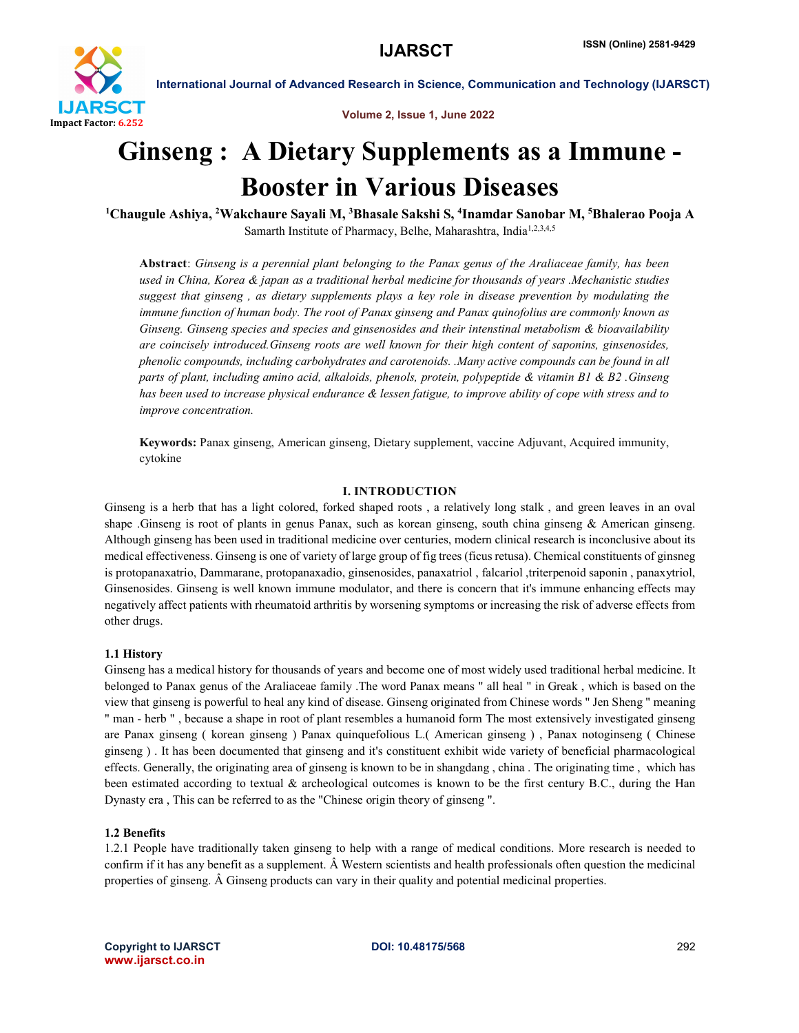

Volume 2, Issue 1, June 2022

# Ginseng : A Dietary Supplements as a Immune - Booster in Various Diseases 1

Chaugule Ashiya, <sup>2</sup>Wakchaure Sayali M, <sup>3</sup>Bhasale Sakshi S, <sup>4</sup>Inamdar Sanobar M, <sup>5</sup>Bhalerao Pooja A Samarth Institute of Pharmacy, Belhe, Maharashtra, India<sup>1,2,3,4,5</sup>

Abstract: *Ginseng is a perennial plant belonging to the Panax genus of the Araliaceae family, has been used in China, Korea & japan as a traditional herbal medicine for thousands of years .Mechanistic studies suggest that ginseng , as dietary supplements plays a key role in disease prevention by modulating the immune function of human body. The root of Panax ginseng and Panax quinofolius are commonly known as Ginseng. Ginseng species and species and ginsenosides and their intenstinal metabolism & bioavailability are coincisely introduced.Ginseng roots are well known for their high content of saponins, ginsenosides, phenolic compounds, including carbohydrates and carotenoids. .Many active compounds can be found in all parts of plant, including amino acid, alkaloids, phenols, protein, polypeptide & vitamin B1 & B2 .Ginseng has been used to increase physical endurance & lessen fatigue, to improve ability of cope with stress and to improve concentration.*

Keywords: Panax ginseng, American ginseng, Dietary supplement, vaccine Adjuvant, Acquired immunity, cytokine

# I. INTRODUCTION

Ginseng is a herb that has a light colored, forked shaped roots , a relatively long stalk , and green leaves in an oval shape .Ginseng is root of plants in genus Panax, such as korean ginseng, south china ginseng & American ginseng. Although ginseng has been used in traditional medicine over centuries, modern clinical research is inconclusive about its medical effectiveness. Ginseng is one of variety of large group of fig trees (ficus retusa). Chemical constituents of ginsneg is protopanaxatrio, Dammarane, protopanaxadio, ginsenosides, panaxatriol , falcariol ,triterpenoid saponin , panaxytriol, Ginsenosides. Ginseng is well known immune modulator, and there is concern that it's immune enhancing effects may negatively affect patients with rheumatoid arthritis by worsening symptoms or increasing the risk of adverse effects from other drugs.

### 1.1 History

Ginseng has a medical history for thousands of years and become one of most widely used traditional herbal medicine. It belonged to Panax genus of the Araliaceae family .The word Panax means " all heal " in Greak , which is based on the view that ginseng is powerful to heal any kind of disease. Ginseng originated from Chinese words " Jen Sheng " meaning " man - herb " , because a shape in root of plant resembles a humanoid form The most extensively investigated ginseng are Panax ginseng ( korean ginseng ) Panax quinquefolious L.( American ginseng ) , Panax notoginseng ( Chinese ginseng ) . It has been documented that ginseng and it's constituent exhibit wide variety of beneficial pharmacological effects. Generally, the originating area of ginseng is known to be in shangdang , china . The originating time , which has been estimated according to textual & archeological outcomes is known to be the first century B.C., during the Han Dynasty era , This can be referred to as the "Chinese origin theory of ginseng ".

### 1.2 Benefits

1.2.1 People have traditionally taken ginseng to help with a range of medical conditions. More research is needed to confirm if it has any benefit as a supplement. Â Western scientists and health professionals often question the medicinal properties of ginseng. Â Ginseng products can vary in their quality and potential medicinal properties.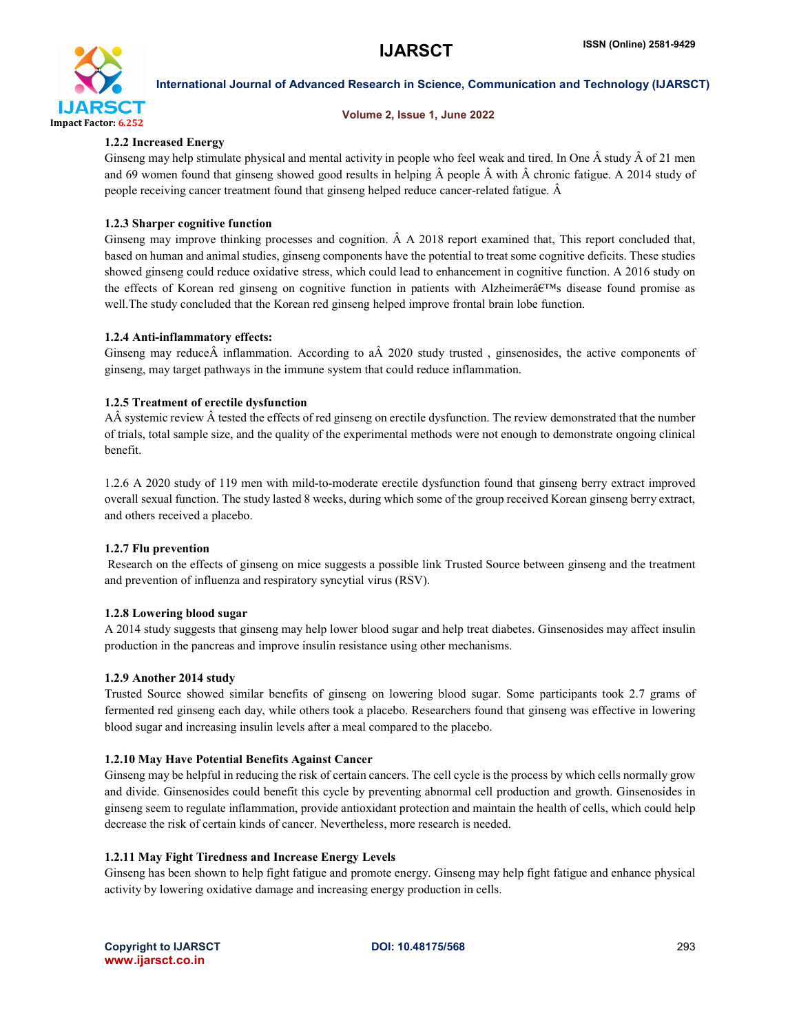

### Volume 2, Issue 1, June 2022

# 1.2.2 Increased Energy

Ginseng may help stimulate physical and mental activity in people who feel weak and tired. In One  $\hat{A}$  study  $\hat{A}$  of 21 men and 69 women found that ginseng showed good results in helping Â people Â with Â chronic fatigue. A 2014 study of people receiving cancer treatment found that ginseng helped reduce cancer-related fatigue. Â

# 1.2.3 Sharper cognitive function

Ginseng may improve thinking processes and cognition. Â A 2018 report examined that, This report concluded that, based on human and animal studies, ginseng components have the potential to treat some cognitive deficits. These studies showed ginseng could reduce oxidative stress, which could lead to enhancement in cognitive function. A 2016 study on the effects of Korean red ginseng on cognitive function in patients with Alzheimer $\hat{\mathbf{a}} \in \mathbb{R}^m$ s disease found promise as well.The study concluded that the Korean red ginseng helped improve frontal brain lobe function.

# 1.2.4 Anti-inflammatory effects:

Ginseng may reduceÂ inflammation. According to aÂ 2020 study trusted , ginsenosides, the active components of ginseng, may target pathways in the immune system that could reduce inflammation.

# 1.2.5 Treatment of erectile dysfunction

AÂ systemic review Â tested the effects of red ginseng on erectile dysfunction. The review demonstrated that the number of trials, total sample size, and the quality of the experimental methods were not enough to demonstrate ongoing clinical benefit.

1.2.6 A 2020 study of 119 men with mild-to-moderate erectile dysfunction found that ginseng berry extract improved overall sexual function. The study lasted 8 weeks, during which some of the group received Korean ginseng berry extract, and others received a placebo.

# 1.2.7 Flu prevention

Research on the effects of ginseng on mice suggests a possible link Trusted Source between ginseng and the treatment and prevention of influenza and respiratory syncytial virus (RSV).

# 1.2.8 Lowering blood sugar

A 2014 study suggests that ginseng may help lower blood sugar and help treat diabetes. Ginsenosides may affect insulin production in the pancreas and improve insulin resistance using other mechanisms.

### 1.2.9 Another 2014 study

Trusted Source showed similar benefits of ginseng on lowering blood sugar. Some participants took 2.7 grams of fermented red ginseng each day, while others took a placebo. Researchers found that ginseng was effective in lowering blood sugar and increasing insulin levels after a meal compared to the placebo.

# 1.2.10 May Have Potential Benefits Against Cancer

Ginseng may be helpful in reducing the risk of certain cancers. The cell cycle is the process by which cells normally grow and divide. Ginsenosides could benefit this cycle by preventing abnormal cell production and growth. Ginsenosides in ginseng seem to regulate inflammation, provide antioxidant protection and maintain the health of cells, which could help decrease the risk of certain kinds of cancer. Nevertheless, more research is needed.

# 1.2.11 May Fight Tiredness and Increase Energy Levels

Ginseng has been shown to help fight fatigue and promote energy. Ginseng may help fight fatigue and enhance physical activity by lowering oxidative damage and increasing energy production in cells.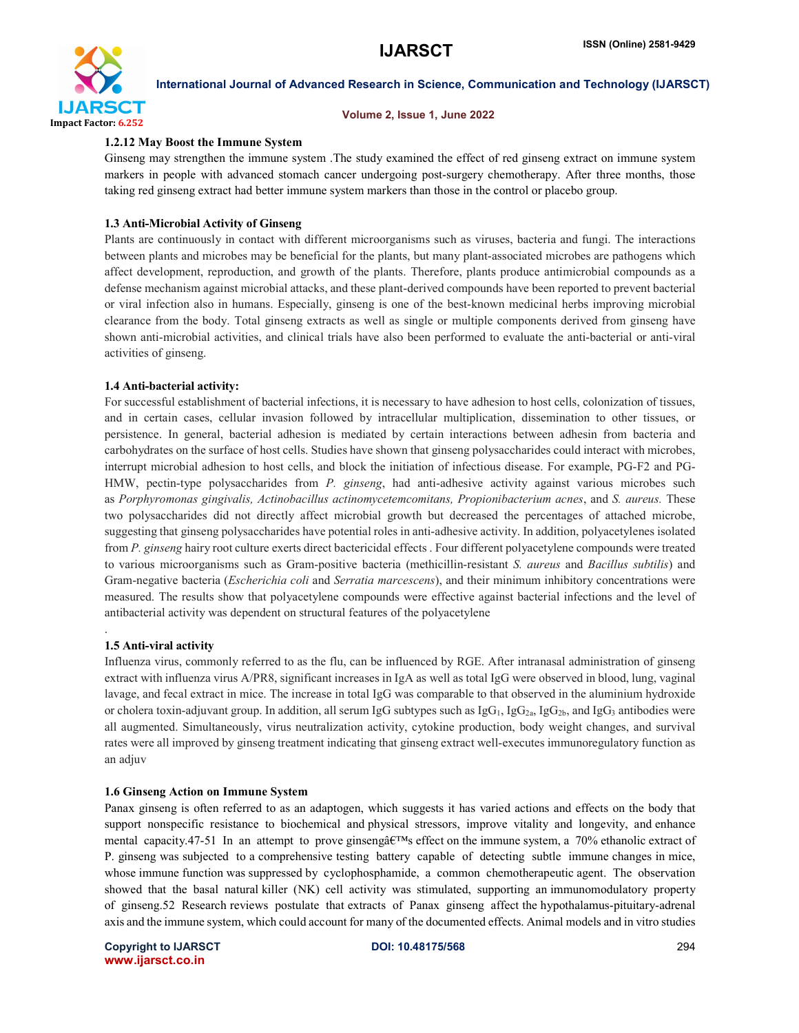

#### Volume 2, Issue 1, June 2022

### 1.2.12 May Boost the Immune System

Ginseng may strengthen the immune system .The study examined the effect of red ginseng extract on immune system markers in people with advanced stomach cancer undergoing post-surgery chemotherapy. After three months, those taking red ginseng extract had better immune system markers than those in the control or placebo group.

## 1.3 Anti-Microbial Activity of Ginseng

Plants are continuously in contact with different microorganisms such as viruses, bacteria and fungi. The interactions between plants and microbes may be beneficial for the plants, but many plant-associated microbes are pathogens which affect development, reproduction, and growth of the plants. Therefore, plants produce antimicrobial compounds as a defense mechanism against microbial attacks, and these plant-derived compounds have been reported to prevent bacterial or viral infection also in humans. Especially, ginseng is one of the best-known medicinal herbs improving microbial clearance from the body. Total ginseng extracts as well as single or multiple components derived from ginseng have shown anti-microbial activities, and clinical trials have also been performed to evaluate the anti-bacterial or anti-viral activities of ginseng.

# 1.4 Anti-bacterial activity:

For successful establishment of bacterial infections, it is necessary to have adhesion to host cells, colonization of tissues, and in certain cases, cellular invasion followed by intracellular multiplication, dissemination to other tissues, or persistence. In general, bacterial adhesion is mediated by certain interactions between adhesin from bacteria and carbohydrates on the surface of host cells. Studies have shown that ginseng polysaccharides could interact with microbes, interrupt microbial adhesion to host cells, and block the initiation of infectious disease. For example, PG-F2 and PG-HMW, pectin-type polysaccharides from *P. ginseng*, had anti-adhesive activity against various microbes such as *Porphyromonas gingivalis, Actinobacillus actinomycetemcomitans, Propionibacterium acnes*, and *S. aureus.* These two polysaccharides did not directly affect microbial growth but decreased the percentages of attached microbe, suggesting that ginseng polysaccharides have potential roles in anti-adhesive activity. In addition, polyacetylenes isolated from *P. ginseng* hairy root culture exerts direct bactericidal effects . Four different polyacetylene compounds were treated to various microorganisms such as Gram-positive bacteria (methicillin-resistant *S. aureus* and *Bacillus subtilis*) and Gram-negative bacteria (*Escherichia coli* and *Serratia marcescens*), and their minimum inhibitory concentrations were measured. The results show that polyacetylene compounds were effective against bacterial infections and the level of antibacterial activity was dependent on structural features of the polyacetylene

### 1.5 Anti-viral activity

.

Influenza virus, commonly referred to as the flu, can be influenced by RGE. After intranasal administration of ginseng extract with influenza virus A/PR8, significant increases in IgA as well as total IgG were observed in blood, lung, vaginal lavage, and fecal extract in mice. The increase in total IgG was comparable to that observed in the aluminium hydroxide or cholera toxin-adjuvant group. In addition, all serum IgG subtypes such as  $\lg G_1$ , IgG<sub>2a</sub>, IgG<sub>2b</sub>, and IgG<sub>3</sub> antibodies were all augmented. Simultaneously, virus neutralization activity, cytokine production, body weight changes, and survival rates were all improved by ginseng treatment indicating that ginseng extract well-executes immunoregulatory function as an adjuv

### 1.6 Ginseng Action on Immune System

Panax ginseng is often referred to as an adaptogen, which suggests it has varied actions and effects on the body that support nonspecific resistance to biochemical and physical stressors, improve vitality and longevity, and enhance mental capacity.47-51 In an attempt to prove ginsengå $\varepsilon$ TMs effect on the immune system, a 70% ethanolic extract of P. ginseng was subjected to a comprehensive testing battery capable of detecting subtle immune changes in mice, whose immune function was suppressed by cyclophosphamide, a common chemotherapeutic agent. The observation showed that the basal natural killer (NK) cell activity was stimulated, supporting an immunomodulatory property of ginseng.52 Research reviews postulate that extracts of Panax ginseng affect the hypothalamus-pituitary-adrenal axis and the immune system, which could account for many of the documented effects. Animal models and in vitro studies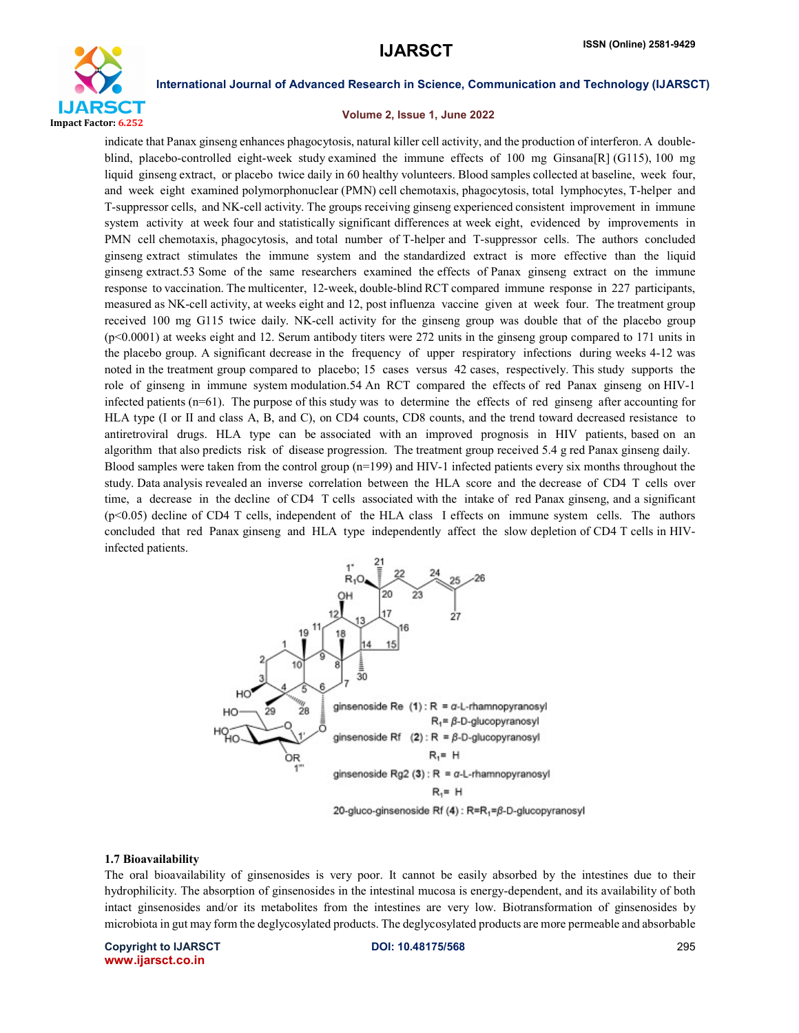

### Volume 2, Issue 1, June 2022

indicate that Panax ginseng enhances phagocytosis, natural killer cell activity, and the production of interferon. A doubleblind, placebo-controlled eight-week study examined the immune effects of 100 mg Ginsana[R] (G115), 100 mg liquid ginseng extract, or placebo twice daily in 60 healthy volunteers. Blood samples collected at baseline, week four, and week eight examined polymorphonuclear (PMN) cell chemotaxis, phagocytosis, total lymphocytes, T-helper and T-suppressor cells, and NK-cell activity. The groups receiving ginseng experienced consistent improvement in immune system activity at week four and statistically significant differences at week eight, evidenced by improvements in PMN cell chemotaxis, phagocytosis, and total number of T-helper and T-suppressor cells. The authors concluded ginseng extract stimulates the immune system and the standardized extract is more effective than the liquid ginseng extract.53 Some of the same researchers examined the effects of Panax ginseng extract on the immune response to vaccination. The multicenter, 12-week, double-blind RCT compared immune response in 227 participants, measured as NK-cell activity, at weeks eight and 12, post influenza vaccine given at week four. The treatment group received 100 mg G115 twice daily. NK-cell activity for the ginseng group was double that of the placebo group (p<0.0001) at weeks eight and 12. Serum antibody titers were 272 units in the ginseng group compared to 171 units in the placebo group. A significant decrease in the frequency of upper respiratory infections during weeks 4-12 was noted in the treatment group compared to placebo; 15 cases versus 42 cases, respectively. This study supports the role of ginseng in immune system modulation.54 An RCT compared the effects of red Panax ginseng on HIV-1 infected patients (n=61). The purpose of this study was to determine the effects of red ginseng after accounting for HLA type (I or II and class A, B, and C), on CD4 counts, CD8 counts, and the trend toward decreased resistance to antiretroviral drugs. HLA type can be associated with an improved prognosis in HIV patients, based on an algorithm that also predicts risk of disease progression. The treatment group received 5.4 g red Panax ginseng daily. Blood samples were taken from the control group (n=199) and HIV-1 infected patients every six months throughout the study. Data analysis revealed an inverse correlation between the HLA score and the decrease of CD4 T cells over time, a decrease in the decline of CD4 T cells associated with the intake of red Panax ginseng, and a significant (p<0.05) decline of CD4 T cells, independent of the HLA class I effects on immune system cells. The authors concluded that red Panax ginseng and HLA type independently affect the slow depletion of CD4 T cells in HIVinfected patients.



#### 1.7 Bioavailability

The oral bioavailability of ginsenosides is very poor. It cannot be easily absorbed by the intestines due to their hydrophilicity. The absorption of ginsenosides in the intestinal mucosa is energy-dependent, and its availability of both intact ginsenosides and/or its metabolites from the intestines are very low. Biotransformation of ginsenosides by microbiota in gut may form the deglycosylated products. The deglycosylated products are more permeable and absorbable

Copyright to IJARSCT **DOI: 10.48175/568** 295 www.ijarsct.co.in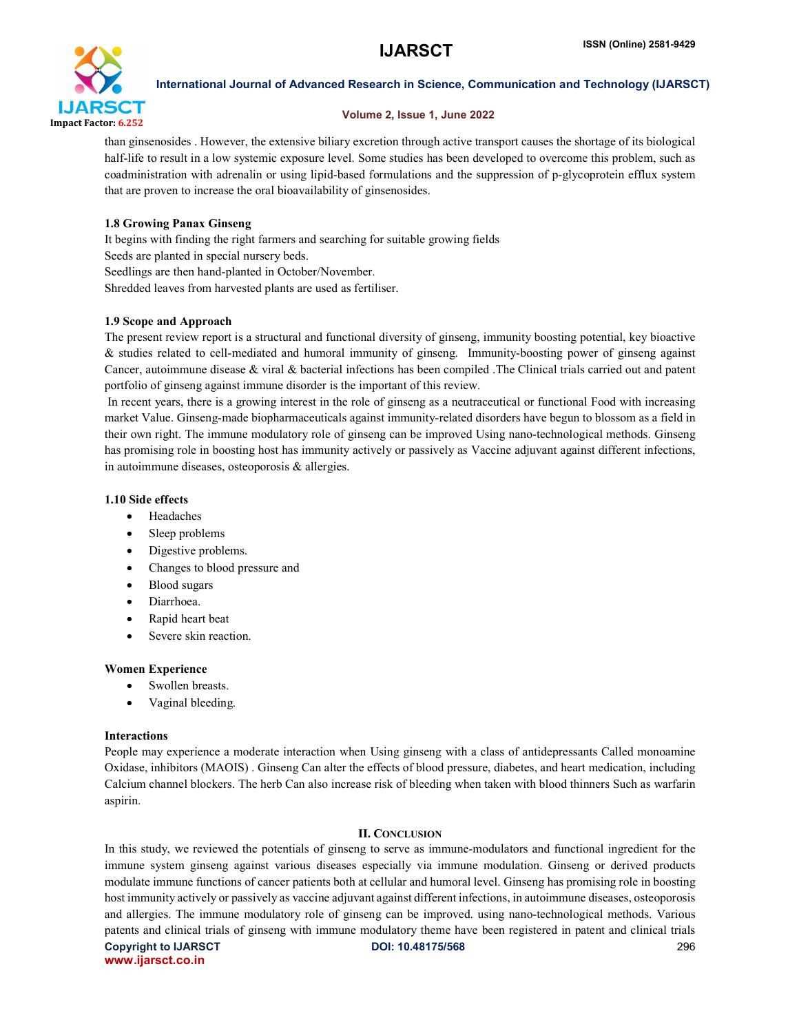

# Volume 2, Issue 1, June 2022

than ginsenosides . However, the extensive biliary excretion through active transport causes the shortage of its biological half-life to result in a low systemic exposure level. Some studies has been developed to overcome this problem, such as coadministration with adrenalin or using lipid-based formulations and the suppression of p-glycoprotein efflux system that are proven to increase the oral bioavailability of ginsenosides.

# 1.8 Growing Panax Ginseng

It begins with finding the right farmers and searching for suitable growing fields Seeds are planted in special nursery beds. Seedlings are then hand-planted in October/November. Shredded leaves from harvested plants are used as fertiliser.

# 1.9 Scope and Approach

The present review report is a structural and functional diversity of ginseng, immunity boosting potential, key bioactive & studies related to cell-mediated and humoral immunity of ginseng. Immunity-boosting power of ginseng against Cancer, autoimmune disease & viral & bacterial infections has been compiled .The Clinical trials carried out and patent portfolio of ginseng against immune disorder is the important of this review.

In recent years, there is a growing interest in the role of ginseng as a neutraceutical or functional Food with increasing market Value. Ginseng-made biopharmaceuticals against immunity-related disorders have begun to blossom as a field in their own right. The immune modulatory role of ginseng can be improved Using nano-technological methods. Ginseng has promising role in boosting host has immunity actively or passively as Vaccine adjuvant against different infections, in autoimmune diseases, osteoporosis & allergies.

### 1.10 Side effects

- Headaches
- Sleep problems
- Digestive problems.
- Changes to blood pressure and
- Blood sugars
- Diarrhoea.
- Rapid heart beat
- Severe skin reaction.

### Women Experience

- Swollen breasts.
- Vaginal bleeding.

### Interactions

People may experience a moderate interaction when Using ginseng with a class of antidepressants Called monoamine Oxidase, inhibitors (MAOIS) . Ginseng Can alter the effects of blood pressure, diabetes, and heart medication, including Calcium channel blockers. The herb Can also increase risk of bleeding when taken with blood thinners Such as warfarin aspirin.

### II. CONCLUSION

Copyright to IJARSCT **DOI: 10.48175/568** 296 In this study, we reviewed the potentials of ginseng to serve as immune-modulators and functional ingredient for the immune system ginseng against various diseases especially via immune modulation. Ginseng or derived products modulate immune functions of cancer patients both at cellular and humoral level. Ginseng has promising role in boosting host immunity actively or passively as vaccine adjuvant against different infections, in autoimmune diseases, osteoporosis and allergies. The immune modulatory role of ginseng can be improved. using nano-technological methods. Various patents and clinical trials of ginseng with immune modulatory theme have been registered in patent and clinical trials

www.ijarsct.co.in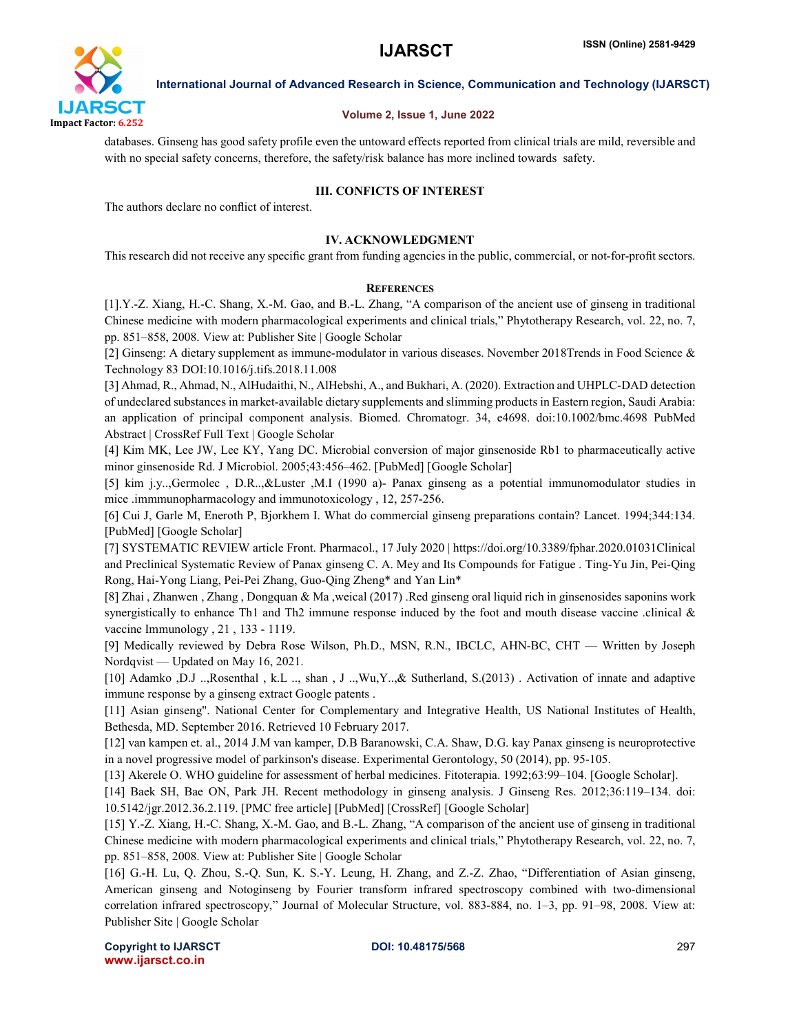

## Volume 2, Issue 1, June 2022

databases. Ginseng has good safety profile even the untoward effects reported from clinical trials are mild, reversible and with no special safety concerns, therefore, the safety/risk balance has more inclined towards safety.

# III. CONFICTS OF INTEREST

The authors declare no conflict of interest.

# IV. ACKNOWLEDGMENT

This research did not receive any specific grant from funding agencies in the public, commercial, or not-for-profit sectors.

### **REFERENCES**

[1].Y.-Z. Xiang, H.-C. Shang, X.-M. Gao, and B.-L. Zhang, "A comparison of the ancient use of ginseng in traditional Chinese medicine with modern pharmacological experiments and clinical trials," Phytotherapy Research, vol. 22, no. 7, pp. 851–858, 2008. View at: Publisher Site | Google Scholar

[2] Ginseng: A dietary supplement as immune-modulator in various diseases. November 2018Trends in Food Science & Technology 83 DOI:10.1016/j.tifs.2018.11.008

[3] Ahmad, R., Ahmad, N., AlHudaithi, N., AlHebshi, A., and Bukhari, A. (2020). Extraction and UHPLC-DAD detection of undeclared substances in market-available dietary supplements and slimming products in Eastern region, Saudi Arabia: an application of principal component analysis. Biomed. Chromatogr. 34, e4698. doi:10.1002/bmc.4698 PubMed Abstract | CrossRef Full Text | Google Scholar

[4] Kim MK, Lee JW, Lee KY, Yang DC. Microbial conversion of major ginsenoside Rb1 to pharmaceutically active minor ginsenoside Rd. J Microbiol. 2005;43:456–462. [PubMed] [Google Scholar]

[5] kim j.y..,Germolec , D.R..,&Luster ,M.I (1990 a)- Panax ginseng as a potential immunomodulator studies in mice .immmunopharmacology and immunotoxicology, 12, 257-256.

[6] Cui J, Garle M, Eneroth P, Bjorkhem I. What do commercial ginseng preparations contain? Lancet. 1994;344:134. [PubMed] [Google Scholar]

[7] SYSTEMATIC REVIEW article Front. Pharmacol., 17 July 2020 | https://doi.org/10.3389/fphar.2020.01031Clinical and Preclinical Systematic Review of Panax ginseng C. A. Mey and Its Compounds for Fatigue . Ting-Yu Jin, Pei-Qing Rong, Hai-Yong Liang, Pei-Pei Zhang, Guo-Qing Zheng\* and Yan Lin\*

[8] Zhai , Zhanwen , Zhang , Dongquan & Ma ,weical (2017) .Red ginseng oral liquid rich in ginsenosides saponins work synergistically to enhance Th1 and Th2 immune response induced by the foot and mouth disease vaccine .clinical  $\&$ vaccine Immunology , 21 , 133 - 1119.

[9] Medically reviewed by Debra Rose Wilson, Ph.D., MSN, R.N., IBCLC, AHN-BC, CHT — Written by Joseph Nordqvist — Updated on May 16, 2021.

[10] Adamko ,D.J ..,Rosenthal , k.L .., shan , J ..,Wu,Y..,& Sutherland, S.(2013) . Activation of innate and adaptive immune response by a ginseng extract Google patents .

[11] Asian ginseng". National Center for Complementary and Integrative Health, US National Institutes of Health, Bethesda, MD. September 2016. Retrieved 10 February 2017.

[12] van kampen et. al., 2014 J.M van kamper, D.B Baranowski, C.A. Shaw, D.G. kay Panax ginseng is neuroprotective in a novel progressive model of parkinson's disease. Experimental Gerontology, 50 (2014), pp. 95-105.

[13] Akerele O. WHO guideline for assessment of herbal medicines. Fitoterapia. 1992;63:99–104. [Google Scholar].

[14] Baek SH, Bae ON, Park JH. Recent methodology in ginseng analysis. J Ginseng Res. 2012;36:119–134. doi: 10.5142/jgr.2012.36.2.119. [PMC free article] [PubMed] [CrossRef] [Google Scholar]

[15] Y.-Z. Xiang, H.-C. Shang, X.-M. Gao, and B.-L. Zhang, "A comparison of the ancient use of ginseng in traditional Chinese medicine with modern pharmacological experiments and clinical trials," Phytotherapy Research, vol. 22, no. 7, pp. 851–858, 2008. View at: Publisher Site | Google Scholar

[16] G.-H. Lu, Q. Zhou, S.-Q. Sun, K. S.-Y. Leung, H. Zhang, and Z.-Z. Zhao, "Differentiation of Asian ginseng, American ginseng and Notoginseng by Fourier transform infrared spectroscopy combined with two-dimensional correlation infrared spectroscopy," Journal of Molecular Structure, vol. 883-884, no. 1–3, pp. 91–98, 2008. View at: Publisher Site | Google Scholar